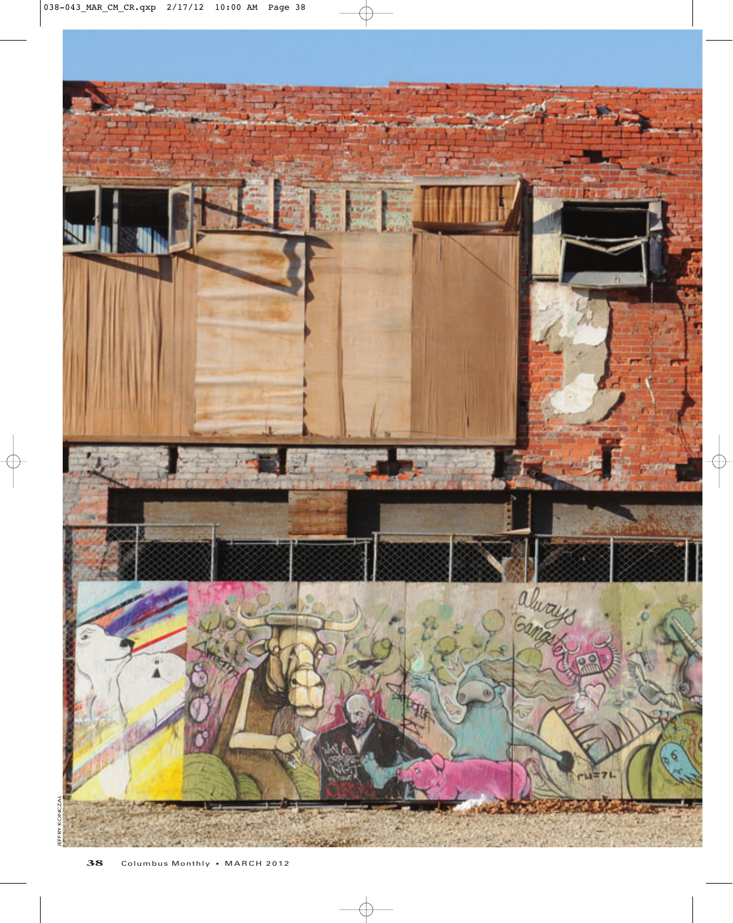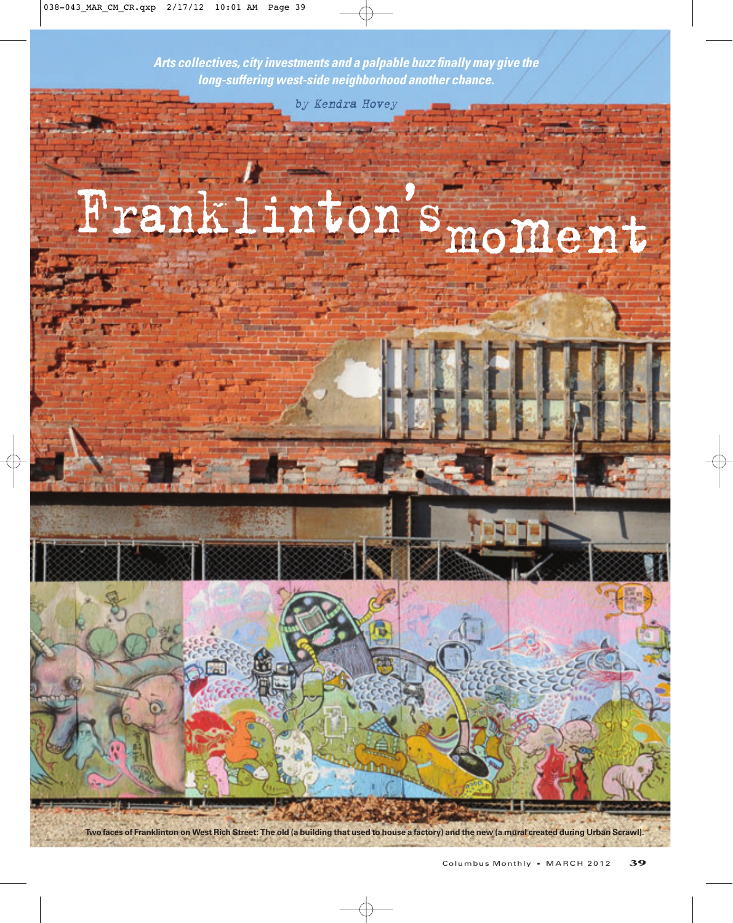*Arts collectives, city investments and a palpable buzz finally may give the long-suffering west-side neighborhood another chance.* 

by Kendra Hovey

## Pmoment

**Two faces of Franklinton on West Rich Street: The old (a building that used to house a factory) and the new (a mural created during Urban Scrawl).**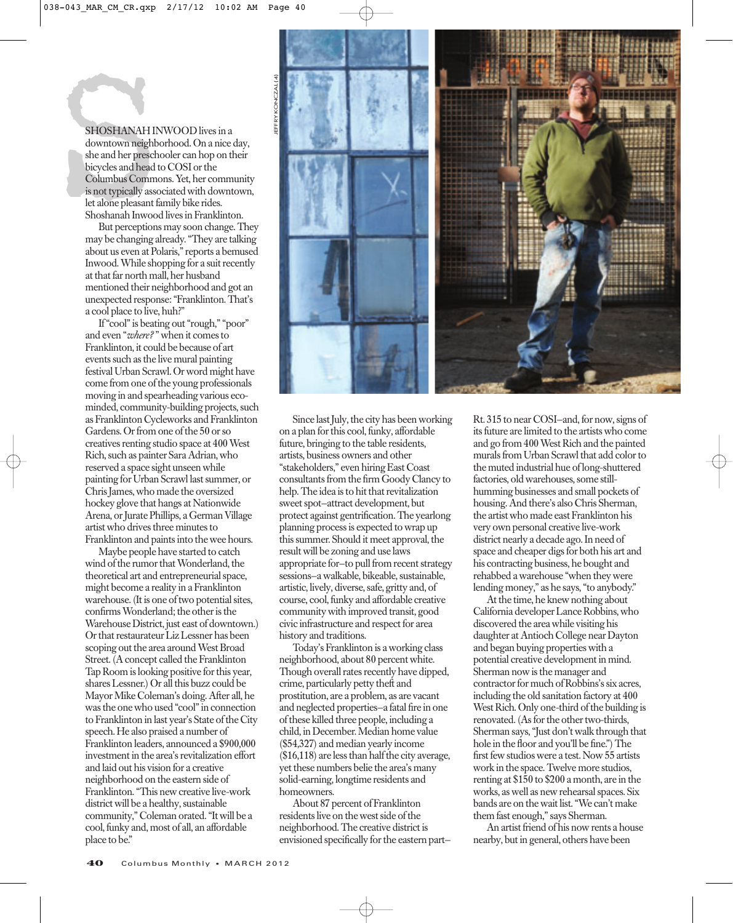

But perceptions may soon change. They may be changing already. "They are talking about us even at Polaris," reports a bemused Inwood. While shopping for a suit recently at that far north mall, her husband mentioned their neighborhood and got an unexpected response: "Franklinton. That's a cool place to live, huh?"

If "cool" is beating out "rough," "poor" and even "*where?* " when it comes to Franklinton, it could be because of art events such as the live mural painting festival Urban Scrawl. Or word might have come from one of the young professionals moving in and spearheading various ecominded, community-building projects, such as Franklinton Cycleworks and Franklinton Gardens. Or from one of the 50 or so creatives renting studio space at 400 West Rich, such as painter Sara Adrian, who reserved a space sight unseen while painting for Urban Scrawl last summer, or Chris James, who made the oversized hockey glove that hangs at Nationwide Arena, or Jurate Phillips, a German Village artist who drives three minutes to Franklinton and paints into the wee hours.

Maybe people have started to catch wind of the rumor that Wonderland, the theoretical art and entrepreneurial space, might become a reality in a Franklinton warehouse. (It is one of two potential sites, confirms Wonderland; the other is the Warehouse District, just east of downtown.) Or that restaurateur Liz Lessner has been scoping out the area around West Broad Street. (A concept called the Franklinton Tap Room is looking positive for this year, shares Lessner.) Or all this buzz could be Mayor Mike Coleman's doing. After all, he was the one who used "cool" in connection to Franklinton in last year's State of the City speech. He also praised a number of Franklinton leaders, announced a \$900,000 investment in the area's revitalization effort and laid out his vision for a creative neighborhood on the eastern side of Franklinton. "This new creative live-work district will be a healthy, sustainable community," Coleman orated. "It will be a cool, funky and, most of all, an affordable place to be." **40**<br> **40** Columbus meighbonhood. On a nice day<br>
downtown meighbonhood. On a nice day<br>
the and her presichoolor can hop on their<br>
bicycles and helia to COSI or the<br>
decolumbus Commons Net, the recommunity<br>
Sing typically a



Since last July, the city has been working on a plan for this cool, funky, affordable future, bringing to the table residents, artists, business owners and other "stakeholders," even hiring East Coast consultants from the firm Goody Clancy to help. The idea is to hit that revitalization sweet spot—attract development, but protect against gentrification. The yearlong planning process is expected to wrap up this summer. Should it meet approval, the result will be zoning and use laws appropriate for—to pull from recent strategy sessions—a walkable, bikeable, sustainable, artistic, lively, diverse, safe, gritty and, of course, cool, funky and affordable creative community with improved transit, good civic infrastructure and respect for area history and traditions.

Today's Franklinton is a working class neighborhood, about 80 percent white. Though overall rates recently have dipped, crime, particularly petty theft and prostitution, are a problem, as are vacant and neglected properties—a fatal fire in one of these killed three people, including a child, in December. Median home value (\$54,327) and median yearly income (\$16,118) are less than half the city average, yet these numbers belie the area's many solid-earning, longtime residents and homeowners.

About 87 percent of Franklinton residents live on the west side of the neighborhood. The creative district is envisioned specifically for the eastern partRt. 315 to near COSI—and, for now, signs of its future are limited to the artists who come and go from 400 West Rich and the painted murals from Urban Scrawl that add color to the muted industrial hue of long-shuttered factories, old warehouses, some stillhumming businesses and small pockets of housing. And there's also Chris Sherman, the artist who made east Franklinton his very own personal creative live-work district nearly a decade ago. In need of space and cheaper digs for both his art and his contracting business, he bought and rehabbed a warehouse "when they were lending money," as he says, "to anybody."

At the time, he knew nothing about California developer Lance Robbins, who discovered the area while visiting his daughter at Antioch College near Dayton and began buying properties with a potential creative development in mind. Sherman now is the manager and contractor for much of Robbins's six acres, including the old sanitation factory at 400 West Rich. Only one-third of the building is renovated. (As for the other two-thirds, Sherman says, "Just don't walk through that hole in the floor and you'll be fine.") The first few studios were a test. Now 55 artists work in the space. Twelve more studios, renting at \$150 to \$200 a month, are in the works, as well as new rehearsal spaces. Six bands are on the wait list. "We can't make them fast enough," says Sherman.

An artist friend of his now rents a house nearby, but in general, others have been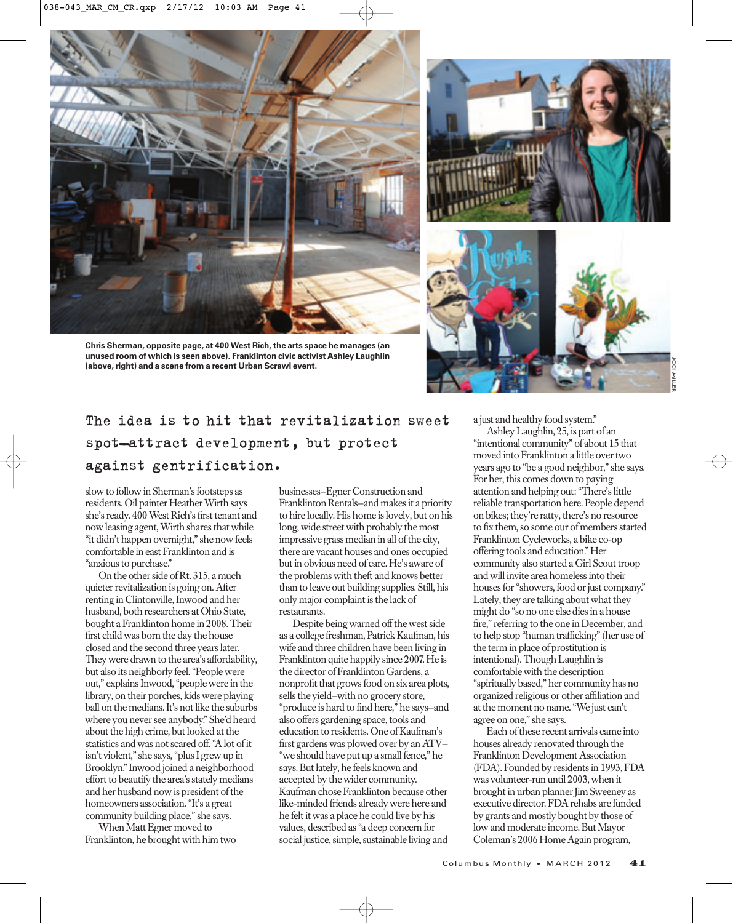





## The idea is to hit that revitalization sweet spot—attract development, but protect against gentrification.

slow to follow in Sherman's footsteps as residents. Oil painter Heather Wirth says she's ready. 400 West Rich's first tenant and now leasing agent, Wirth shares that while "it didn't happen overnight," she now feels comfortable in east Franklinton and is "anxious to purchase."

On the other side of Rt. 315, a much quieter revitalization is going on. After renting in Clintonville, Inwood and her husband, both researchers at Ohio State, bought a Franklinton home in 2008. Their first child was born the day the house closed and the second three years later. They were drawn to the area's affordability, but also its neighborly feel. "People were out," explains Inwood, "people were in the library, on their porches, kids were playing ball on the medians. It's not like the suburbs where you never see anybody." She'd heard about the high crime, but looked at the statistics and was not scared off. "A lot of it isn't violent," she says, "plus I grew up in Brooklyn." Inwood joined a neighborhood effort to beautify the area's stately medians and her husband now is president of the homeowners association. "It's a great community building place," she says.

When Matt Egner moved to Franklinton, he brought with him two businesses—Egner Construction and Franklinton Rentals—and makes it a priority to hire locally. His home is lovely, but on his long, wide street with probably the most impressive grass median in all of the city, there are vacant houses and ones occupied but in obvious need of care. He's aware of the problems with theft and knows better than to leave out building supplies. Still, his only major complaint is the lack of restaurants.

Despite being warned off the west side as a college freshman, Patrick Kaufman, his wife and three children have been living in Franklinton quite happily since 2007. He is the director of Franklinton Gardens, a nonprofit that grows food on six area plots, sells the yield—with no grocery store, "produce is hard to find here," he says—and also offers gardening space, tools and education to residents. One of Kaufman's first gardens was plowed over by an ATV— "we should have put up a small fence," he says. But lately, he feels known and accepted by the wider community. Kaufman chose Franklinton because other like-minded friends already were here and he felt it was a place he could live by his values, described as "a deep concern for social justice, simple, sustainable living and

a just and healthy food system."

Ashley Laughlin, 25, is part of an "intentional community" of about 15 that moved into Franklinton a little over two years ago to "be a good neighbor," she says. For her, this comes down to paying attention and helping out: "There's little reliable transportation here. People depend on bikes; they're ratty, there's no resource to fix them, so some our of members started Franklinton Cycleworks, a bike co-op offering tools and education." Her community also started a Girl Scout troop and will invite area homeless into their houses for "showers, food or just company." Lately, they are talking about what they might do "so no one else dies in a house fire," referring to the one in December, and to help stop "human trafficking" (her use of the term in place of prostitution is intentional). Though Laughlin is comfortable with the description "spiritually based," her community has no organized religious or other affiliation and at the moment no name. "We just can't agree on one," she says.

Each of these recent arrivals came into houses already renovated through the Franklinton Development Association (FDA). Founded by residents in 1993, FDA was volunteer-run until 2003, when it brought in urban planner Jim Sweeney as executive director. FDA rehabs are funded by grants and mostly bought by those of low and moderate income. But Mayor Coleman's 2006 Home Again program,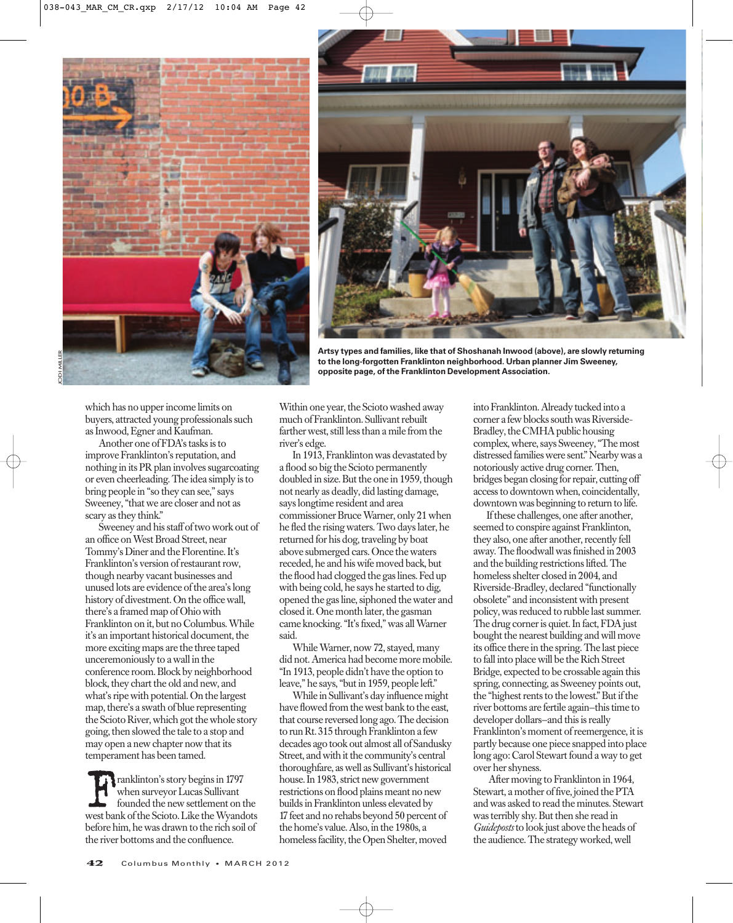



**Artsy types and families, like that of Shoshanah Inwood (above), are slowly returning to the long-forgotten Franklinton neighborhood. Urban planner Jim Sweeney, opposite page, of the Franklinton Development Association.**

which has no upper income limits on buyers, attracted young professionals such as Inwood, Egner and Kaufman.

Another one of FDA's tasks is to improve Franklinton's reputation, and nothing in its PR plan involves sugarcoating or even cheerleading. The idea simply is to bring people in "so they can see," says Sweeney, "that we are closer and not as scary as they think."

Sweeney and his staff of two work out of an office on West Broad Street, near Tommy's Diner and the Florentine. It's Franklinton's version of restaurant row, though nearby vacant businesses and unused lots are evidence of the area's long history of divestment. On the office wall, there's a framed map of Ohio with Franklinton on it, but no Columbus. While it's an important historical document, the more exciting maps are the three taped unceremoniously to a wall in the conference room. Block by neighborhood block, they chart the old and new, and what's ripe with potential. On the largest map, there's a swath of blue representing the Scioto River, which got the whole story going, then slowed the tale to a stop and may open a new chapter now that its temperament has been tamed.

Franklinton's story begins in 1797<br>when surveyor Lucas Sullivant<br>founded the new settlement on the<br>west bank of the Scioto. Like the Wyandots when surveyor Lucas Sullivant founded the new settlement on the before him, he was drawn to the rich soil of the river bottoms and the confluence.

Within one year, the Scioto washed away much of Franklinton. Sullivant rebuilt farther west, still less than a mile from the river's edge.

In 1913, Franklinton was devastated by a flood so big the Scioto permanently doubled in size. But the one in 1959, though not nearly as deadly, did lasting damage, says longtime resident and area commissioner Bruce Warner, only 21 when he fled the rising waters. Two days later, he returned for his dog, traveling by boat above submerged cars. Once the waters receded, he and his wife moved back, but the flood had clogged the gas lines. Fed up with being cold, he says he started to dig, opened the gas line, siphoned the water and closed it. One month later, the gasman came knocking. "It's fixed," was all Warner said.

While Warner, now 72, stayed, many did not. America had become more mobile. "In 1913, people didn't have the option to leave," he says, "but in 1959, people left."

While in Sullivant's day influence might have flowed from the west bank to the east, that course reversed long ago. The decision to run Rt. 315 through Franklinton a few decades ago took out almost all of Sandusky Street, and with it the community's central thoroughfare, as well as Sullivant's historical house. In 1983, strict new government restrictions on flood plains meant no new builds in Franklinton unless elevated by 17 feet and no rehabs beyond 50 percent of the home's value. Also, in the 1980s, a homeless facility, the Open Shelter, moved

into Franklinton. Already tucked into a corner a few blocks south was Riverside-Bradley, the CMHA public housing complex, where, says Sweeney, "The most distressed families were sent." Nearby was a notoriously active drug corner. Then, bridges began closing for repair, cutting off access to downtown when, coincidentally, downtown was beginning to return to life.

If these challenges, one after another, seemed to conspire against Franklinton, they also, one after another, recently fell away. The floodwall was finished in 2003 and the building restrictions lifted. The homeless shelter closed in 2004, and Riverside-Bradley, declared "functionally obsolete" and inconsistent with present policy, was reduced to rubble last summer. The drug corner is quiet. In fact, FDA just bought the nearest building and will move its office there in the spring. The last piece to fall into place will be the Rich Street Bridge, expected to be crossable again this spring, connecting, as Sweeney points out, the "highest rents to the lowest." But if the river bottoms are fertile again—this time to developer dollars—and this is really Franklinton's moment of reemergence, it is partly because one piece snapped into place long ago: Carol Stewart found a way to get over her shyness.

After moving to Franklinton in 1964, Stewart, a mother of five, joined the PTA and was asked to read the minutes. Stewart was terribly shy. But then she read in *Guideposts* to look just above the heads of the audience. The strategy worked, well